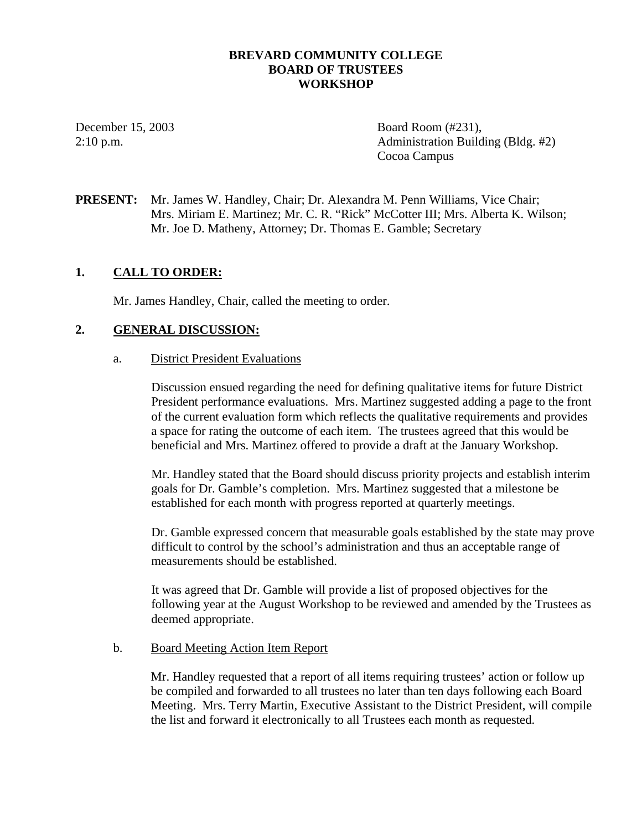# **BREVARD COMMUNITY COLLEGE BOARD OF TRUSTEES WORKSHOP**

December 15, 2003 Board Room (#231), 2:10 p.m. Administration Building (Bldg. #2) Cocoa Campus

**PRESENT:** Mr. James W. Handley, Chair; Dr. Alexandra M. Penn Williams, Vice Chair; Mrs. Miriam E. Martinez; Mr. C. R. "Rick" McCotter III; Mrs. Alberta K. Wilson; Mr. Joe D. Matheny, Attorney; Dr. Thomas E. Gamble; Secretary

# **1. CALL TO ORDER:**

Mr. James Handley, Chair, called the meeting to order.

# **2. GENERAL DISCUSSION:**

a. District President Evaluations

Discussion ensued regarding the need for defining qualitative items for future District President performance evaluations. Mrs. Martinez suggested adding a page to the front of the current evaluation form which reflects the qualitative requirements and provides a space for rating the outcome of each item. The trustees agreed that this would be beneficial and Mrs. Martinez offered to provide a draft at the January Workshop.

Mr. Handley stated that the Board should discuss priority projects and establish interim goals for Dr. Gamble's completion. Mrs. Martinez suggested that a milestone be established for each month with progress reported at quarterly meetings.

Dr. Gamble expressed concern that measurable goals established by the state may prove difficult to control by the school's administration and thus an acceptable range of measurements should be established.

It was agreed that Dr. Gamble will provide a list of proposed objectives for the following year at the August Workshop to be reviewed and amended by the Trustees as deemed appropriate.

#### b. Board Meeting Action Item Report

Mr. Handley requested that a report of all items requiring trustees' action or follow up be compiled and forwarded to all trustees no later than ten days following each Board Meeting. Mrs. Terry Martin, Executive Assistant to the District President, will compile the list and forward it electronically to all Trustees each month as requested.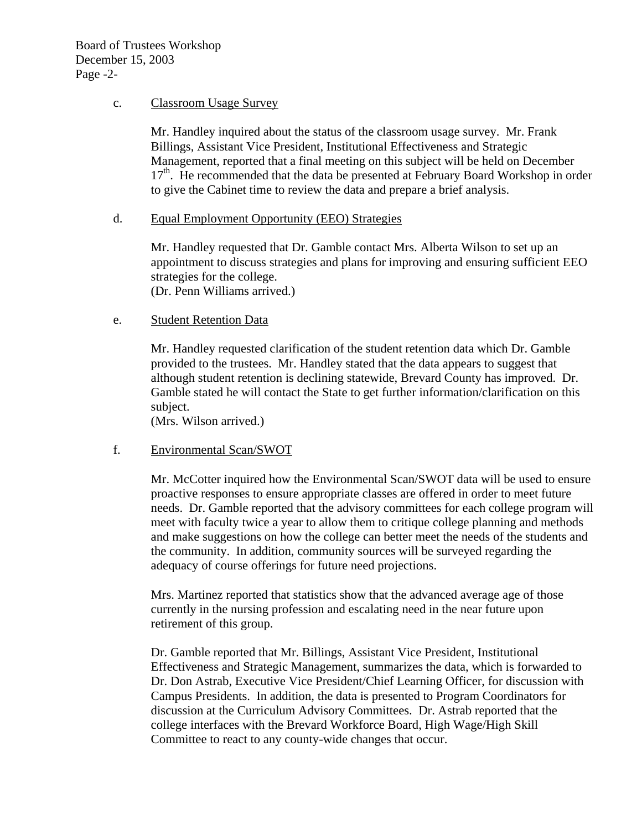### c. Classroom Usage Survey

Mr. Handley inquired about the status of the classroom usage survey. Mr. Frank Billings, Assistant Vice President, Institutional Effectiveness and Strategic Management, reported that a final meeting on this subject will be held on December  $17<sup>th</sup>$ . He recommended that the data be presented at February Board Workshop in order to give the Cabinet time to review the data and prepare a brief analysis.

# d. Equal Employment Opportunity (EEO) Strategies

Mr. Handley requested that Dr. Gamble contact Mrs. Alberta Wilson to set up an appointment to discuss strategies and plans for improving and ensuring sufficient EEO strategies for the college.

(Dr. Penn Williams arrived.)

# e. Student Retention Data

Mr. Handley requested clarification of the student retention data which Dr. Gamble provided to the trustees. Mr. Handley stated that the data appears to suggest that although student retention is declining statewide, Brevard County has improved. Dr. Gamble stated he will contact the State to get further information/clarification on this subject.

(Mrs. Wilson arrived.)

#### f. Environmental Scan/SWOT

Mr. McCotter inquired how the Environmental Scan/SWOT data will be used to ensure proactive responses to ensure appropriate classes are offered in order to meet future needs. Dr. Gamble reported that the advisory committees for each college program will meet with faculty twice a year to allow them to critique college planning and methods and make suggestions on how the college can better meet the needs of the students and the community. In addition, community sources will be surveyed regarding the adequacy of course offerings for future need projections.

Mrs. Martinez reported that statistics show that the advanced average age of those currently in the nursing profession and escalating need in the near future upon retirement of this group.

Dr. Gamble reported that Mr. Billings, Assistant Vice President, Institutional Effectiveness and Strategic Management, summarizes the data, which is forwarded to Dr. Don Astrab, Executive Vice President/Chief Learning Officer, for discussion with Campus Presidents. In addition, the data is presented to Program Coordinators for discussion at the Curriculum Advisory Committees. Dr. Astrab reported that the college interfaces with the Brevard Workforce Board, High Wage/High Skill Committee to react to any county-wide changes that occur.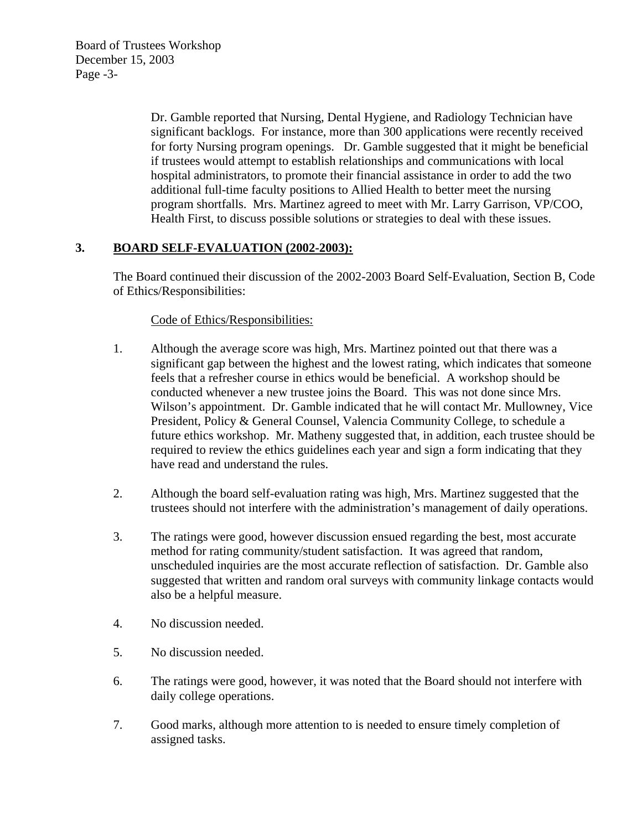Board of Trustees Workshop December 15, 2003 Page -3-

> Dr. Gamble reported that Nursing, Dental Hygiene, and Radiology Technician have significant backlogs. For instance, more than 300 applications were recently received for forty Nursing program openings. Dr. Gamble suggested that it might be beneficial if trustees would attempt to establish relationships and communications with local hospital administrators, to promote their financial assistance in order to add the two additional full-time faculty positions to Allied Health to better meet the nursing program shortfalls. Mrs. Martinez agreed to meet with Mr. Larry Garrison, VP/COO, Health First, to discuss possible solutions or strategies to deal with these issues.

# **3. BOARD SELF-EVALUATION (2002-2003):**

The Board continued their discussion of the 2002-2003 Board Self-Evaluation, Section B, Code of Ethics/Responsibilities:

# Code of Ethics/Responsibilities:

- 1. Although the average score was high, Mrs. Martinez pointed out that there was a significant gap between the highest and the lowest rating, which indicates that someone feels that a refresher course in ethics would be beneficial. A workshop should be conducted whenever a new trustee joins the Board. This was not done since Mrs. Wilson's appointment. Dr. Gamble indicated that he will contact Mr. Mullowney, Vice President, Policy & General Counsel, Valencia Community College, to schedule a future ethics workshop. Mr. Matheny suggested that, in addition, each trustee should be required to review the ethics guidelines each year and sign a form indicating that they have read and understand the rules.
- 2. Although the board self-evaluation rating was high, Mrs. Martinez suggested that the trustees should not interfere with the administration's management of daily operations.
- 3. The ratings were good, however discussion ensued regarding the best, most accurate method for rating community/student satisfaction. It was agreed that random, unscheduled inquiries are the most accurate reflection of satisfaction. Dr. Gamble also suggested that written and random oral surveys with community linkage contacts would also be a helpful measure.
- 4. No discussion needed.
- 5. No discussion needed.
- 6. The ratings were good, however, it was noted that the Board should not interfere with daily college operations.
- 7. Good marks, although more attention to is needed to ensure timely completion of assigned tasks.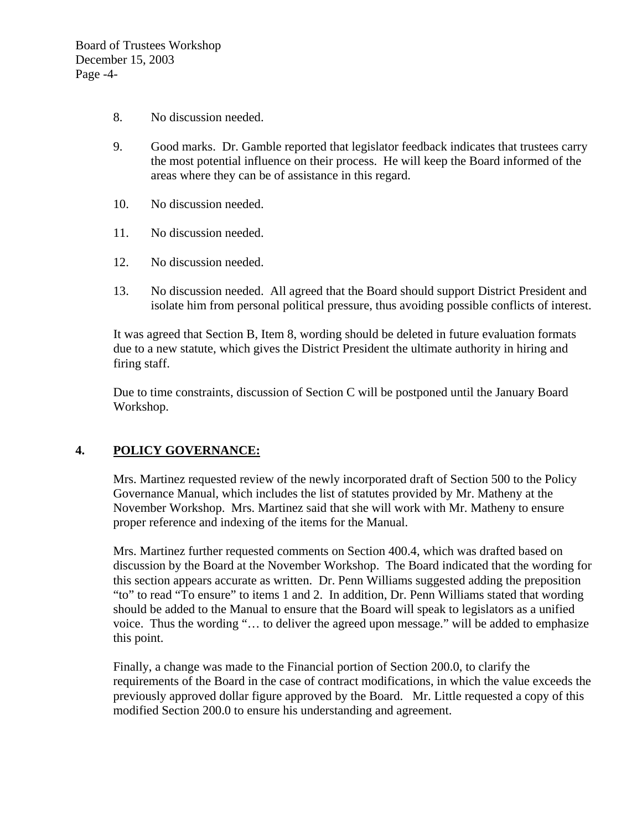- 8. No discussion needed.
- 9. Good marks. Dr. Gamble reported that legislator feedback indicates that trustees carry the most potential influence on their process. He will keep the Board informed of the areas where they can be of assistance in this regard.
- 10. No discussion needed.
- 11. No discussion needed.
- 12. No discussion needed.
- 13. No discussion needed. All agreed that the Board should support District President and isolate him from personal political pressure, thus avoiding possible conflicts of interest.

It was agreed that Section B, Item 8, wording should be deleted in future evaluation formats due to a new statute, which gives the District President the ultimate authority in hiring and firing staff.

Due to time constraints, discussion of Section C will be postponed until the January Board Workshop.

# **4. POLICY GOVERNANCE:**

Mrs. Martinez requested review of the newly incorporated draft of Section 500 to the Policy Governance Manual, which includes the list of statutes provided by Mr. Matheny at the November Workshop. Mrs. Martinez said that she will work with Mr. Matheny to ensure proper reference and indexing of the items for the Manual.

Mrs. Martinez further requested comments on Section 400.4, which was drafted based on discussion by the Board at the November Workshop. The Board indicated that the wording for this section appears accurate as written. Dr. Penn Williams suggested adding the preposition "to" to read "To ensure" to items 1 and 2. In addition, Dr. Penn Williams stated that wording should be added to the Manual to ensure that the Board will speak to legislators as a unified voice. Thus the wording "… to deliver the agreed upon message." will be added to emphasize this point.

Finally, a change was made to the Financial portion of Section 200.0, to clarify the requirements of the Board in the case of contract modifications, in which the value exceeds the previously approved dollar figure approved by the Board. Mr. Little requested a copy of this modified Section 200.0 to ensure his understanding and agreement.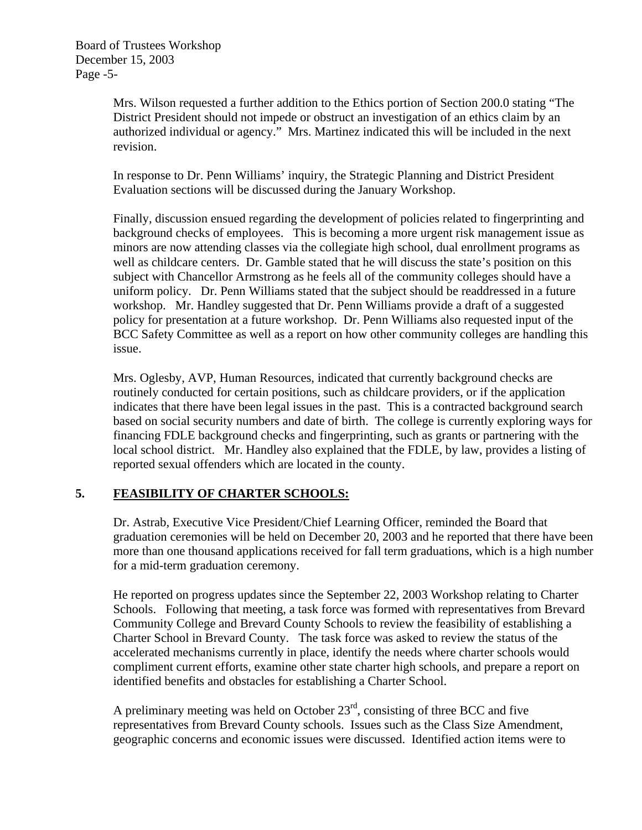Mrs. Wilson requested a further addition to the Ethics portion of Section 200.0 stating "The District President should not impede or obstruct an investigation of an ethics claim by an authorized individual or agency." Mrs. Martinez indicated this will be included in the next revision.

 In response to Dr. Penn Williams' inquiry, the Strategic Planning and District President Evaluation sections will be discussed during the January Workshop.

 Finally, discussion ensued regarding the development of policies related to fingerprinting and background checks of employees. This is becoming a more urgent risk management issue as minors are now attending classes via the collegiate high school, dual enrollment programs as well as childcare centers. Dr. Gamble stated that he will discuss the state's position on this subject with Chancellor Armstrong as he feels all of the community colleges should have a uniform policy. Dr. Penn Williams stated that the subject should be readdressed in a future workshop. Mr. Handley suggested that Dr. Penn Williams provide a draft of a suggested policy for presentation at a future workshop. Dr. Penn Williams also requested input of the BCC Safety Committee as well as a report on how other community colleges are handling this issue.

 Mrs. Oglesby, AVP, Human Resources, indicated that currently background checks are routinely conducted for certain positions, such as childcare providers, or if the application indicates that there have been legal issues in the past. This is a contracted background search based on social security numbers and date of birth. The college is currently exploring ways for financing FDLE background checks and fingerprinting, such as grants or partnering with the local school district. Mr. Handley also explained that the FDLE, by law, provides a listing of reported sexual offenders which are located in the county.

# **5. FEASIBILITY OF CHARTER SCHOOLS:**

Dr. Astrab, Executive Vice President/Chief Learning Officer, reminded the Board that graduation ceremonies will be held on December 20, 2003 and he reported that there have been more than one thousand applications received for fall term graduations, which is a high number for a mid-term graduation ceremony.

He reported on progress updates since the September 22, 2003 Workshop relating to Charter Schools. Following that meeting, a task force was formed with representatives from Brevard Community College and Brevard County Schools to review the feasibility of establishing a Charter School in Brevard County. The task force was asked to review the status of the accelerated mechanisms currently in place, identify the needs where charter schools would compliment current efforts, examine other state charter high schools, and prepare a report on identified benefits and obstacles for establishing a Charter School.

A preliminary meeting was held on October  $23<sup>rd</sup>$ , consisting of three BCC and five representatives from Brevard County schools. Issues such as the Class Size Amendment, geographic concerns and economic issues were discussed. Identified action items were to